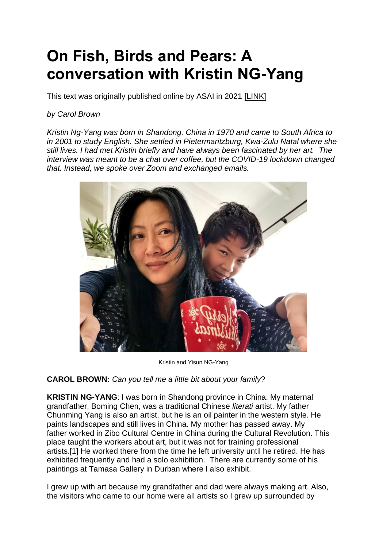# **On Fish, Birds and Pears: A conversation with Kristin NG-Yang**

This text was originally published online by ASAI in 2021 [\[LINK\]](https://asai.co.za/on-fish-birds-and-pears-a-conversation-with-kristin-ng-yang/#more-21724)

## *by Carol Brown*

*Kristin Ng-Yang was born in Shandong, China in 1970 and came to South Africa to in 2001 to study English. She settled in Pietermaritzburg, Kwa-Zulu Natal where she still lives. I had met Kristin briefly and have always been fascinated by her art. The interview was meant to be a chat over coffee, but the COVID-19 lockdown changed that. Instead, we spoke over Zoom and exchanged emails.*



Kristin and Yisun NG-Yang

#### **CAROL BROWN:** *Can you tell me a little bit about your family*?

**KRISTIN NG-YANG**: I was born in Shandong province in China. My maternal grandfather, Boming Chen, was a traditional Chinese *literati* artist. My father Chunming Yang is also an artist, but he is an oil painter in the western style. He paints landscapes and still lives in China. My mother has passed away. My father worked in Zibo Cultural Centre in China during the Cultural Revolution. This place taught the workers about art, but it was not for training professional artists[.\[1\]](https://asai.co.za/on-fish-birds-and-pears-a-conversation-with-kristin-ng-yang/#_edn1) He worked there from the time he left university until he retired. He has exhibited frequently and had a solo exhibition. There are currently some of his paintings at Tamasa Gallery in Durban where I also exhibit.

I grew up with art because my grandfather and dad were always making art. Also, the visitors who came to our home were all artists so I grew up surrounded by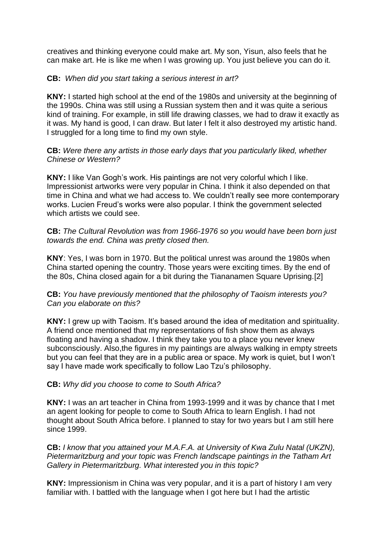creatives and thinking everyone could make art. My son, Yisun, also feels that he can make art. He is like me when I was growing up. You just believe you can do it.

#### **CB:** *When did you start taking a serious interest in art?*

**KNY:** I started high school at the end of the 1980s and university at the beginning of the 1990s. China was still using a Russian system then and it was quite a serious kind of training. For example, in still life drawing classes, we had to draw it exactly as it was. My hand is good, I can draw. But later I felt it also destroyed my artistic hand. I struggled for a long time to find my own style.

#### **CB:** *Were there any artists in those early days that you particularly liked, whether Chinese or Western?*

**KNY:** I like Van Gogh's work. His paintings are not very colorful which I like. Impressionist artworks were very popular in China. I think it also depended on that time in China and what we had access to. We couldn't really see more contemporary works. Lucien Freud's works were also popular. I think the government selected which artists we could see.

**CB:** *The Cultural Revolution was from 1966-1976 so you would have been born just towards the end. China was pretty closed then.*

**KNY**: Yes, I was born in 1970. But the political unrest was around the 1980s when China started opening the country. Those years were exciting times. By the end of the 80s, China closed again for a bit during the Tiananamen Square Uprising[.\[2\]](https://asai.co.za/on-fish-birds-and-pears-a-conversation-with-kristin-ng-yang/#_edn2)

#### **CB:** *You have previously mentioned that the philosophy of Taoism interests you? Can you elaborate on this?*

**KNY:** I grew up with Taoism. It's based around the idea of meditation and spirituality. A friend once mentioned that my representations of fish show them as always floating and having a shadow. I think they take you to a place you never knew subconsciously. Also,the figures in my paintings are always walking in empty streets but you can feel that they are in a public area or space. My work is quiet, but I won't say I have made work specifically to follow Lao Tzu's philosophy.

#### **CB:** *Why did you choose to come to South Africa?*

**KNY:** I was an art teacher in China from 1993-1999 and it was by chance that I met an agent looking for people to come to South Africa to learn English. I had not thought about South Africa before. I planned to stay for two years but I am still here since 1999.

**CB:** *I know that you attained your M.A.F.A. at University of Kwa Zulu Natal (UKZN), Pietermaritzburg and your topic was French landscape paintings in the Tatham Art Gallery in Pietermaritzburg. What interested you in this topic?*

**KNY:** Impressionism in China was very popular, and it is a part of history I am very familiar with. I battled with the language when I got here but I had the artistic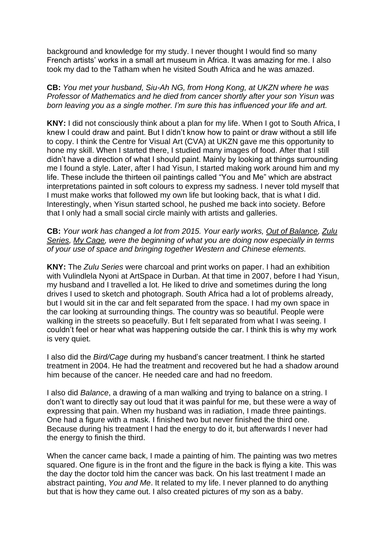background and knowledge for my study. I never thought I would find so many French artists' works in a small art museum in Africa. It was amazing for me. I also took my dad to the Tatham when he visited South Africa and he was amazed.

**CB:** *You met your husband, Siu-Ah NG, from Hong Kong, at UKZN where he was Professor of Mathematics and he died from cancer shortly after your son Yisun was born leaving you as a single mother. I'm sure this has influenced your life and art.*

**KNY:** I did not consciously think about a plan for my life. When I got to South Africa, I knew I could draw and paint. But I didn't know how to paint or draw without a still life to copy. I think the Centre for Visual Art (CVA) at UKZN gave me this opportunity to hone my skill. When I started there, I studied many images of food. After that I still didn't have a direction of what I should paint. Mainly by looking at things surrounding me I found a style. Later, after I had Yisun, I started making work around him and my life. These include the thirteen oil paintings called "You and Me" which are abstract interpretations painted in soft colours to express my sadness. I never told myself that I must make works that followed my own life but looking back, that is what I did. Interestingly, when Yisun started school, he pushed me back into society. Before that I only had a small social circle mainly with artists and galleries.

**CB:** *Your work has changed a lot from 2015. Your early works, Out of Balance, Zulu Series, My Cage, were the beginning of what you are doing now especially in terms of your use of space and bringing together Western and Chinese elements.*

**KNY:** The *Zulu Series* were charcoal and print works on paper. I had an exhibition with Vulindlela Nyoni at ArtSpace in Durban. At that time in 2007, before I had Yisun, my husband and I travelled a lot. He liked to drive and sometimes during the long drives I used to sketch and photograph. South Africa had a lot of problems already, but I would sit in the car and felt separated from the space. I had my own space in the car looking at surrounding things. The country was so beautiful. People were walking in the streets so peacefully. But I felt separated from what I was seeing. I couldn't feel or hear what was happening outside the car. I think this is why my work is very quiet.

I also did the *Bird/Cage* during my husband's cancer treatment. I think he started treatment in 2004. He had the treatment and recovered but he had a shadow around him because of the cancer. He needed care and had no freedom.

I also did *Balance*, a drawing of a man walking and trying to balance on a string. I don't want to directly say out loud that it was painful for me, but these were a way of expressing that pain. When my husband was in radiation, I made three paintings. One had a figure with a mask. I finished two but never finished the third one. Because during his treatment I had the energy to do it, but afterwards I never had the energy to finish the third.

When the cancer came back, I made a painting of him. The painting was two metres squared. One figure is in the front and the figure in the back is flying a kite. This was the day the doctor told him the cancer was back. On his last treatment I made an abstract painting, *You and Me*. It related to my life. I never planned to do anything but that is how they came out. I also created pictures of my son as a baby.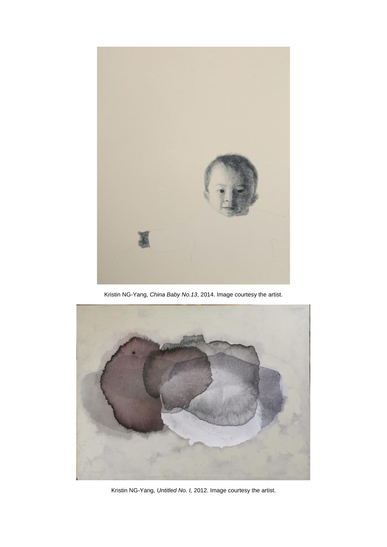

Kristin NG-Yang, *China Baby No.13*, 2014. Image courtesy the artist.



Kristin NG-Yang, *Untitled No. I,* 2012. Image courtesy the artist.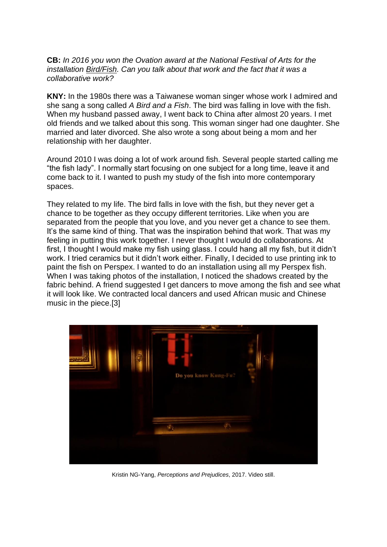**CB:** *In 2016 you won the Ovation award at the National Festival of Arts for the installation Bird/Fish. Can you talk about that work and the fact that it was a collaborative work?*

**KNY:** In the 1980s there was a Taiwanese woman singer whose work I admired and she sang a song called *A Bird and a Fish*. The bird was falling in love with the fish. When my husband passed away, I went back to China after almost 20 years. I met old friends and we talked about this song. This woman singer had one daughter. She married and later divorced. She also wrote a song about being a mom and her relationship with her daughter.

Around 2010 I was doing a lot of work around fish. Several people started calling me "the fish lady". I normally start focusing on one subject for a long time, leave it and come back to it. I wanted to push my study of the fish into more contemporary spaces.

They related to my life. The bird falls in love with the fish, but they never get a chance to be together as they occupy different territories. Like when you are separated from the people that you love, and you never get a chance to see them. It's the same kind of thing. That was the inspiration behind that work. That was my feeling in putting this work together. I never thought I would do collaborations. At first, I thought I would make my fish using glass. I could hang all my fish, but it didn't work. I tried ceramics but it didn't work either. Finally, I decided to use printing ink to paint the fish on Perspex. I wanted to do an installation using all my Perspex fish. When I was taking photos of the installation, I noticed the shadows created by the fabric behind. A friend suggested I get dancers to move among the fish and see what it will look like. We contracted local dancers and used African music and Chinese music in the piece[.\[3\]](https://asai.co.za/on-fish-birds-and-pears-a-conversation-with-kristin-ng-yang/#_edn3)



Kristin NG-Yang, *Perceptions and Prejudices*, 2017. Video still.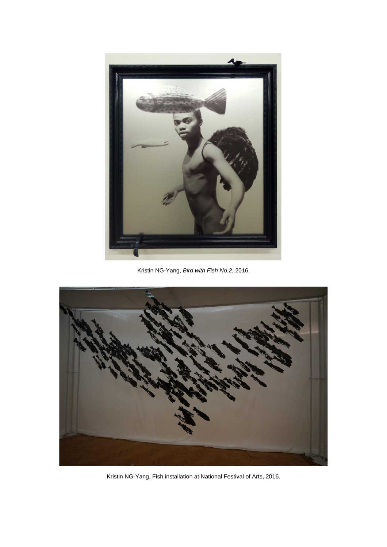

Kristin NG-Yang, *Bird with Fish No.2*, 2016.



Kristin NG-Yang, Fish installation at National Festival of Arts, 2016.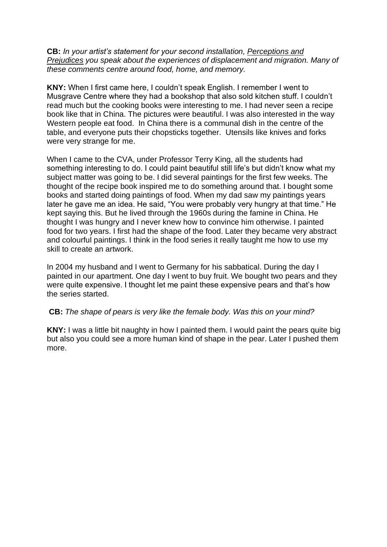**CB:** *In your artist's statement for your second installation, Perceptions and Prejudices you speak about the experiences of displacement and migration. Many of these comments centre around food, home, and memory.*

**KNY:** When I first came here, I couldn't speak English. I remember I went to Musgrave Centre where they had a bookshop that also sold kitchen stuff. I couldn't read much but the cooking books were interesting to me. I had never seen a recipe book like that in China. The pictures were beautiful. I was also interested in the way Western people eat food. In China there is a communal dish in the centre of the table, and everyone puts their chopsticks together. Utensils like knives and forks were very strange for me.

When I came to the CVA, under Professor Terry King, all the students had something interesting to do. I could paint beautiful still life's but didn't know what my subject matter was going to be. I did several paintings for the first few weeks. The thought of the recipe book inspired me to do something around that. I bought some books and started doing paintings of food. When my dad saw my paintings years later he gave me an idea. He said, "You were probably very hungry at that time." He kept saying this. But he lived through the 1960s during the famine in China. He thought I was hungry and I never knew how to convince him otherwise. I painted food for two years. I first had the shape of the food. Later they became very abstract and colourful paintings. I think in the food series it really taught me how to use my skill to create an artwork.

In 2004 my husband and I went to Germany for his sabbatical. During the day I painted in our apartment. One day I went to buy fruit. We bought two pears and they were quite expensive. I thought let me paint these expensive pears and that's how the series started.

#### **CB:** *The shape of pears is very like the female body. Was this on your mind?*

**KNY:** I was a little bit naughty in how I painted them. I would paint the pears quite big but also you could see a more human kind of shape in the pear. Later I pushed them more.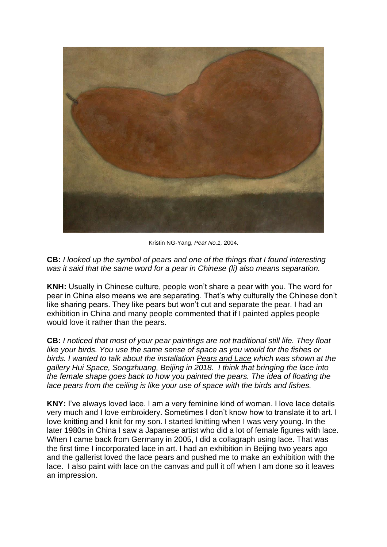

Kristin NG-Yang, *Pear No.1,* 2004.

**CB:** *I looked up the symbol of pears and one of the things that I found interesting was it said that the same word for a pear in Chinese (li) also means separation.*

**KNH:** Usually in Chinese culture, people won't share a pear with you. The word for pear in China also means we are separating. That's why culturally the Chinese don't like sharing pears. They like pears but won't cut and separate the pear. I had an exhibition in China and many people commented that if I painted apples people would love it rather than the pears.

**CB:** *I noticed that most of your pear paintings are not traditional still life. They float like your birds. You use the same sense of space as you would for the fishes or birds. I wanted to talk about the installation Pears and Lace which was shown at the gallery Hui Space, Songzhuang, Beijing in 2018. I think that bringing the lace into the female shape goes back to how you painted the pears. The idea of floating the lace pears from the ceiling is like your use of space with the birds and fishes.*

**KNY:** I've always loved lace. I am a very feminine kind of woman. I love lace details very much and I love embroidery. Sometimes I don't know how to translate it to art. I love knitting and I knit for my son. I started knitting when I was very young. In the later 1980s in China I saw a Japanese artist who did a lot of female figures with lace. When I came back from Germany in 2005, I did a collagraph using lace. That was the first time I incorporated lace in art. I had an exhibition in Beijing two years ago and the gallerist loved the lace pears and pushed me to make an exhibition with the lace. I also paint with lace on the canvas and pull it off when I am done so it leaves an impression.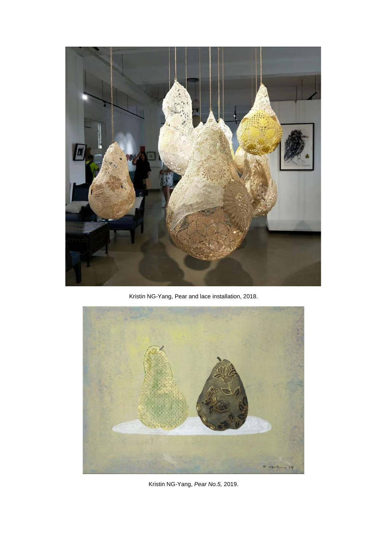

Kristin NG-Yang, Pear and lace installation, 2018.



Kristin NG-Yang, *Pear No.5,* 2019.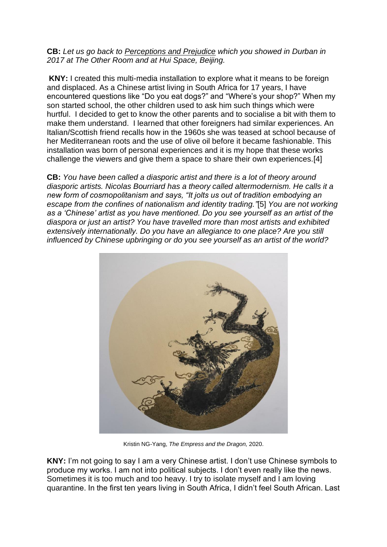#### **CB:** *Let us go back to Perceptions and Prejudice which you showed in Durban in 2017 at The Other Room and at Hui Space, Beijing.*

**KNY:** I created this multi-media installation to explore what it means to be foreign and displaced. As a Chinese artist living in South Africa for 17 years, I have encountered questions like "Do you eat dogs?" and "Where's your shop?" When my son started school, the other children used to ask him such things which were hurtful. I decided to get to know the other parents and to socialise a bit with them to make them understand. I learned that other foreigners had similar experiences. An Italian/Scottish friend recalls how in the 1960s she was teased at school because of her Mediterranean roots and the use of olive oil before it became fashionable. This installation was born of personal experiences and it is my hope that these works challenge the viewers and give them a space to share their own experiences[.\[4\]](https://asai.co.za/on-fish-birds-and-pears-a-conversation-with-kristin-ng-yang/#_edn4)

**CB:** *You have been called a diasporic artist and there is a lot of theory around diasporic artists. Nicolas Bourriard has a theory called altermodernism. He calls it a new form of cosmopolitanism and says, "It jolts us out of tradition embodying an escape from the confines of nationalism and identity trading."*[\[5\]](https://asai.co.za/on-fish-birds-and-pears-a-conversation-with-kristin-ng-yang/#_edn5) *You are not working as a 'Chinese' artist as you have mentioned. Do you see yourself as an artist of the diaspora or just an artist? You have travelled more than most artists and exhibited extensively internationally. Do you have an allegiance to one place? Are you still influenced by Chinese upbringing or do you see yourself as an artist of the world?*



Kristin NG-Yang, *The Empress and the Dragon,* 2020.

**KNY:** I'm not going to say I am a very Chinese artist. I don't use Chinese symbols to produce my works. I am not into political subjects. I don't even really like the news. Sometimes it is too much and too heavy. I try to isolate myself and I am loving quarantine. In the first ten years living in South Africa, I didn't feel South African. Last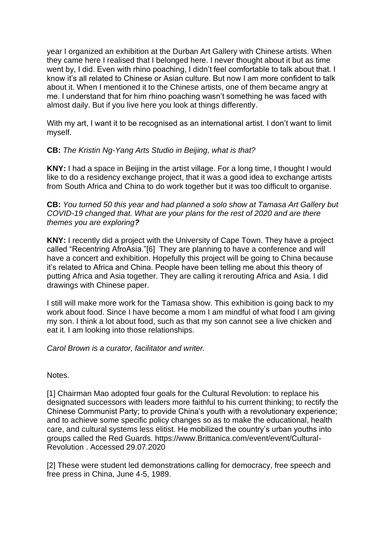year I organized an exhibition at the Durban Art Gallery with Chinese artists. When they came here I realised that I belonged here. I never thought about it but as time went by, I did. Even with rhino poaching, I didn't feel comfortable to talk about that. I know it's all related to Chinese or Asian culture. But now I am more confident to talk about it. When I mentioned it to the Chinese artists, one of them became angry at me. I understand that for him rhino poaching wasn't something he was faced with almost daily. But if you live here you look at things differently.

With my art, I want it to be recognised as an international artist. I don't want to limit myself.

### **CB:** *The Kristin Ng-Yang Arts Studio in Beijing, what is that?*

**KNY:** I had a space in Beijing in the artist village. For a long time, I thought I would like to do a residency exchange project, that it was a good idea to exchange artists from South Africa and China to do work together but it was too difficult to organise.

**CB:** *You turned 50 this year and had planned a solo show at Tamasa Art Gallery but COVID-19 changed that. What are your plans for the rest of 2020 and are there themes you are exploring?*

**KNY:** I recently did a project with the University of Cape Town. They have a project called "Recentring AfroAsia.["\[6\]](https://asai.co.za/on-fish-birds-and-pears-a-conversation-with-kristin-ng-yang/#_edn6) They are planning to have a conference and will have a concert and exhibition. Hopefully this project will be going to China because it's related to Africa and China. People have been telling me about this theory of putting Africa and Asia together. They are calling it rerouting Africa and Asia. I did drawings with Chinese paper.

I still will make more work for the Tamasa show. This exhibition is going back to my work about food. Since I have become a mom I am mindful of what food I am giving my son. I think a lot about food, such as that my son cannot see a live chicken and eat it. I am looking into those relationships.

*Carol Brown is a curator, facilitator and writer.*

Notes.

[1] Chairman Mao adopted four goals for the Cultural Revolution: to replace his designated successors with leaders more faithful to his current thinking; to rectify the Chinese Communist Party; to provide China's youth with a revolutionary experience; and to achieve some specific policy changes so as to make the educational, health care, and cultural systems less elitist. He mobilized the country's urban youths into groups called the Red Guards. [https://www.Brittanica.com/event/event/Cultural-](https://www.brittanica.com/event/event/Cultural-Revolution)[Revolution](https://www.brittanica.com/event/event/Cultural-Revolution) . Accessed 29.07.2020

[2] These were student led demonstrations calling for democracy, free speech and free press in China, June 4-5, 1989.